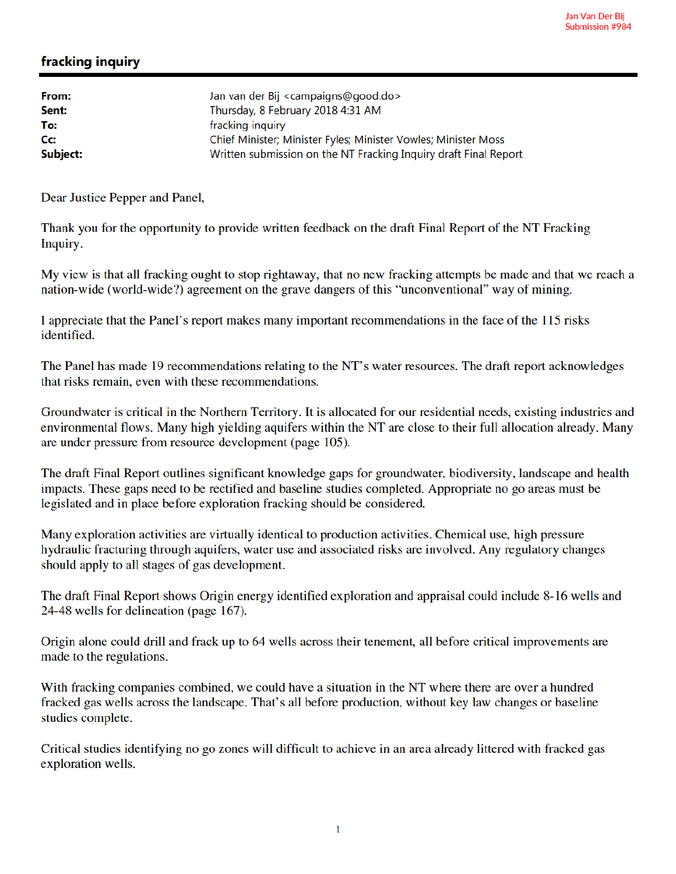## fracking inquiry

| From:<br>Sent: | Jan van der Bij <campaigns@good.do><br/>Thursday, 8 February 2018 4:31 AM</campaigns@good.do> |
|----------------|-----------------------------------------------------------------------------------------------|
| To:            | fracking inquiry                                                                              |
| Cc:            | Chief Minister; Minister Fyles; Minister Vowles; Minister Moss                                |
| Subject:       | Written submission on the NT Fracking Inquiry draft Final Report                              |

Dear Justice Pepper and Panel,

Thank you for the opportunity to provide written feedback on the draft Final Report of the NT Fracking Inquiry.

My view is that all fracking ought to stop rightaway, that no new fracking attempts be made and that we reach a nation-wide (world-wide?) agreement on the grave dangers of this "unconventional" way of mining.

I appreciate that the Panel's report makes many important recommendations in the face of the 115 risks identified.

The Panel has made 19 recommendations relating to the NT's water resources. The draft report acknowledges that risks remain, even with these recommendations.

Groundwater is critical in the Northern Territory. It is allocated for our residential needs, existing industries and environmental flows. Many high yielding aquifers within the NT are close to their full allocation already. Many are under pressure from resource development (page 105).

The draft Final Report outlines significant knowledge gaps for groundwater, biodiversity, landscape and health impacts. These gaps need to be rectified and baseline studies completed. Appropriate no go areas must be legislated and in place before exploration fracking should be considered.

Many exploration activities are virtually identical to production activities. Chemical use, high pressure hydraulic fracturing through aquifers, water use and associated risks are involved. Any regulatory changes should apply to all stages of gas development.

The draft Final Report shows Origin energy identified exploration and appraisal could include 8-16 wells and 24-48 wells for delineation (page 167).

Origin alone could drill and frack up to 64 wells across their tenement, all before critical improvements are made to the regulations.

With fracking companies combined, we could have a situation in the NT where there are over a hundred fracked gas wells across the landscape. That's all before production, without key law changes or baseline studies complete.

Critical studies identifying no go zones will difficult to achieve in an area already littered with fracked gas exploration wells.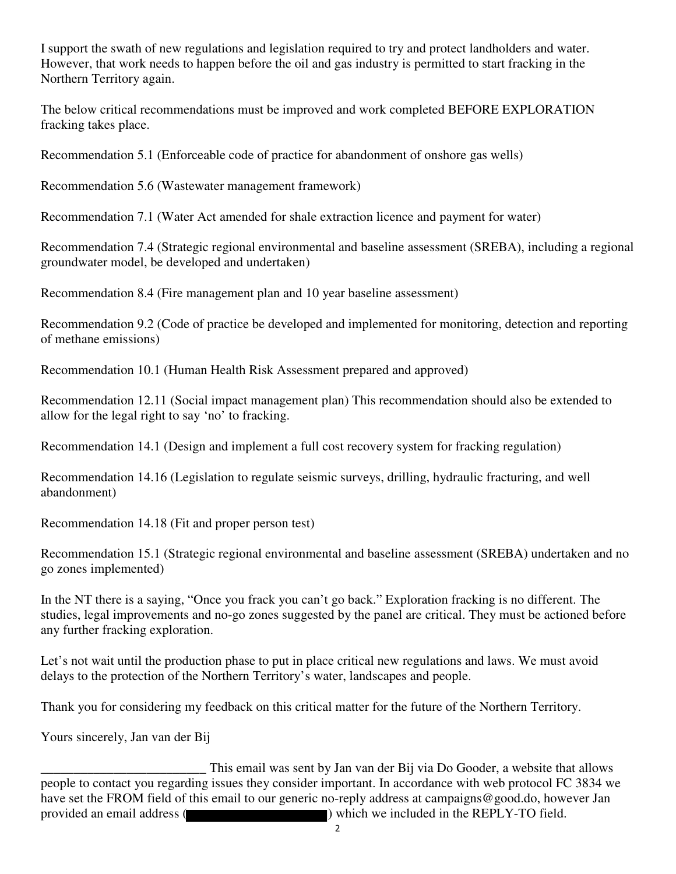I support the swath of new regulations and legislation required to try and protect landholders and water. However, that work needs to happen before the oil and gas industry is permitted to start fracking in the Northern Territory again.

The below critical recommendations must be improved and work completed BEFORE EXPLORATION fracking takes place.

Recommendation 5.1 (Enforceable code of practice for abandonment of onshore gas wells)

Recommendation 5.6 (Wastewater management framework)

Recommendation 7.1 (Water Act amended for shale extraction licence and payment for water)

Recommendation 7.4 (Strategic regional environmental and baseline assessment (SREBA), including a regional groundwater model, be developed and undertaken)

Recommendation 8.4 (Fire management plan and 10 year baseline assessment)

Recommendation 9.2 (Code of practice be developed and implemented for monitoring, detection and reporting of methane emissions)

Recommendation 10.1 (Human Health Risk Assessment prepared and approved)

Recommendation 12.11 (Social impact management plan) This recommendation should also be extended to allow for the legal right to say 'no' to fracking.

Recommendation 14.1 (Design and implement a full cost recovery system for fracking regulation)

Recommendation 14.16 (Legislation to regulate seismic surveys, drilling, hydraulic fracturing, and well abandonment)

Recommendation 14.18 (Fit and proper person test)

Recommendation 15.1 (Strategic regional environmental and baseline assessment (SREBA) undertaken and no go zones implemented)

In the NT there is a saying, "Once you frack you can't go back." Exploration fracking is no different. The studies, legal improvements and no-go zones suggested by the panel are critical. They must be actioned before any further fracking exploration.

Let's not wait until the production phase to put in place critical new regulations and laws. We must avoid delays to the protection of the Northern Territory's water, landscapes and people.

Thank you for considering my feedback on this critical matter for the future of the Northern Territory.

Yours sincerely, Jan van der Bij

This email was sent by Jan van der Bij via Do Gooder, a website that allows<br>people to contact you regarding issues they consider important. In accordance with web protocol FC 3834 we have set the FROM field of this email to our generic no-reply address at campaigns@good.do, however Jan provided an email address ( ) which we included in the REPLY-TO field.